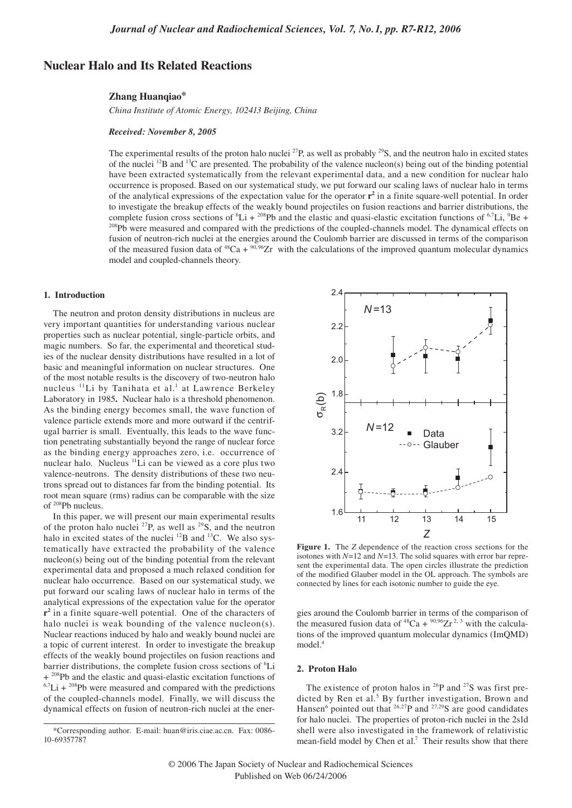# **Nuclear Halo and Its Related Reactions**

### **Zhang Huanqiao\***

*China Institute of Atomic Energy, 102413 Beijing, China* 

## *Received: November 8, 2005*

The experimental results of the proton halo nuclei <sup>27</sup>P, as well as probably <sup>29</sup>S, and the neutron halo in excited states of the nuclei <sup>12</sup>B and <sup>13</sup>C are presented. The probability of the valence nucleon(s) being out of the binding potential have been extracted systematically from the relevant experimental data, and a new condition for nuclear halo occurrence is proposed. Based on our systematical study, we put forward our scaling laws of nuclear halo in terms of the analytical expressions of the expectation value for the operator  $r^2$  in a finite square-well potential. In order to investigate the breakup effects of the weakly bound projectiles on fusion reactions and barrier distributions, the complete fusion cross sections of  ${}^{6}Li + {}^{208}Pb$  and the elastic and quasi-elastic excitation functions of  ${}^{6.7}Li, {}^{9}$ <sup>208</sup>Pb were measured and compared with the predictions of the coupled-channels model. The dynamical effects on fusion of neutron-rich nuclei at the energies around the Coulomb barrier are discussed in terms of the comparison of the measured fusion data of <sup>48</sup>Ca +  $\frac{90,96}{2}Zr$  with the calculations of the improved quantum molecular dynamics model and coupled-channels theory.

### **1. Introduction**

The neutron and proton density distributions in nucleus are very important quantities for understanding various nuclear properties such as nuclear potential, single-particle orbits, and magic numbers. So far, the experimental and theoretical studies of the nuclear density distributions have resulted in a lot of basic and meaningful information on nuclear structures. One of the most notable results is the discovery of two-neutron halo nucleus <sup>11</sup>Li by Tanihata et al.<sup>1</sup> at Lawrence Berkeley Laboratory in 1985**.** Nuclear halo is a threshold phenomenon. As the binding energy becomes small, the wave function of valence particle extends more and more outward if the centrifugal barrier is small. Eventually, this leads to the wave function penetrating substantially beyond the range of nuclear force as the binding energy approaches zero, i.e. occurrence of nuclear halo. Nucleus 11Li can be viewed as a core plus two valence-neutrons. The density distributions of these two neutrons spread out to distances far from the binding potential. Its root mean square (rms) radius can be comparable with the size of 208Pb nucleus.

In this paper, we will present our main experimental results of the proton halo nuclei <sup>27</sup>P, as well as <sup>29</sup>S, and the neutron halo in excited states of the nuclei  $^{12}B$  and  $^{13}C$ . We also systematically have extracted the probability of the valence nucleon(s) being out of the binding potential from the relevant experimental data and proposed a much relaxed condition for nuclear halo occurrence. Based on our systematical study, we put forward our scaling laws of nuclear halo in terms of the analytical expressions of the expectation value for the operator **r2** in a finite square-well potential. One of the characters of halo nuclei is weak bounding of the valence nucleon(s). Nuclear reactions induced by halo and weakly bound nuclei are a topic of current interest. In order to investigate the breakup effects of the weakly bound projectiles on fusion reactions and barrier distributions, the complete fusion cross sections of <sup>6</sup>Li + <sup>208</sup>Pb and the elastic and quasi-elastic excitation functions of  $6.7$ Li +  $208$ Pb were measured and compared with the predictions of the coupled-channels model. Finally, we will discuss the dynamical effects on fusion of neutron-rich nuclei at the ener-



**Figure 1.** The *Z* dependence of the reaction cross sections for the isotones with *N*=12 and *N*=13. The solid squares with error bar represent the experimental data. The open circles illustrate the prediction of the modified Glauber model in the OL approach. The symbols are connected by lines for each isotonic number to guide the eye.

gies around the Coulomb barrier in terms of the comparison of the measured fusion data of  $^{48}Ca + ^{90,96}Zr^{2,3}$  with the calculations of the improved quantum molecular dynamics (ImQMD) model.4

# **2. Proton Halo**

The existence of proton halos in  $^{26}P$  and  $^{27}S$  was first predicted by Ren et al.<sup>5</sup> By further investigation, Brown and Hansen<sup>6</sup> pointed out that  $26.27$ P and  $27.29$ S are good candidates for halo nuclei. The properties of proton-rich nuclei in the 2s1d shell were also investigated in the framework of relativistic mean-field model by Chen et al.<sup>7</sup> Their results show that there

<sup>\*</sup>Corresponding author. E-mail: huan@iris.ciae.ac.cn. Fax: 0086- 10-69357787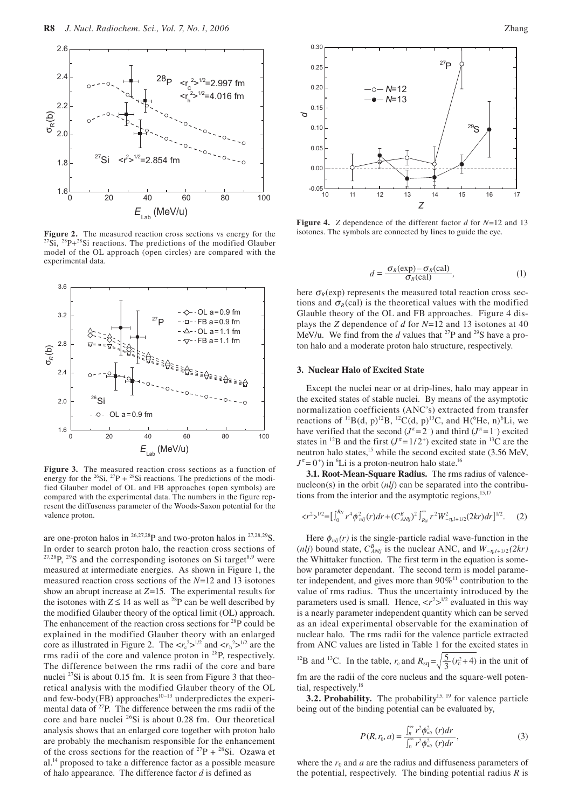

**Figure 2.** The measured reaction cross sections vs energy for the  $2^{2}$ Si,  $2^{8}P+2^{8}Si$  reactions. The predictions of the modified Glauber model of the OL approach (open circles) are compared with the experimental data.



**Figure 3.** The measured reaction cross sections as a function of energy for the <sup>26</sup>Si, <sup>27</sup>P + <sup>28</sup>Si reactions. The predictions of the modified Glauber model of OL and FB approaches (open symbols) are compared with the experimental data. The numbers in the figure represent the diffuseness parameter of the Woods-Saxon potential for the valence proton.

are one-proton halos in  $^{26,27,28}P$  and two-proton halos in  $^{27,28,29}S$ . In order to search proton halo, the reaction cross sections of  $27,28$ P,  $29$ S and the corresponding isotones on Si target<sup>8,9</sup> were measured at intermediate energies. As shown in Figure 1, the measured reaction cross sections of the *N*=12 and 13 isotones show an abrupt increase at *Z*=15. The experimental results for the isotones with  $Z \le 14$  as well as <sup>28</sup>P can be well described by the modified Glauber theory of the optical limit (OL) approach. The enhancement of the reaction cross sections for  $^{28}P$  could be explained in the modified Glauber theory with an enlarged core as illustrated in Figure 2. The  $\langle r_c^2 \rangle^{1/2}$  and  $\langle r_h^2 \rangle^{1/2}$  are the rms radii of the core and valence proton in 28P, respectively. The difference between the rms radii of the core and bare nuclei 27Si is about 0.15 fm. It is seen from Figure 3 that theoretical analysis with the modified Glauber theory of the OL and few-body(FB) approaches $10-13$  underpredictes the experimental data of <sup>27</sup>P. The difference between the rms radii of the core and bare nuclei 26Si is about 0.28 fm. Our theoretical analysis shows that an enlarged core together with proton halo are probably the mechanism responsible for the enhancement of the cross sections for the reaction of  $^{27}P + ^{28}Si$ . Ozawa et al.14 proposed to take a difference factor as a possible measure of halo appearance. The difference factor *d* is defined as



**Figure 4.** *Z* dependence of the different factor *d* for *N*=12 and 13 isotones. The symbols are connected by lines to guide the eye.

$$
d = \frac{\sigma_R(\exp) - \sigma_R(\text{cal})}{\sigma_R(\text{cal})},\tag{1}
$$

here  $\sigma_R$ (exp) represents the measured total reaction cross sections and  $\sigma_R$  (cal) is the theoretical values with the modified Glauble theory of the OL and FB approaches. Figure 4 displays the *Z* dependence of *d* for *N*=12 and 13 isotones at 40 MeV/u. We find from the *d* values that <sup>27</sup>P and <sup>29</sup>S have a proton halo and a moderate proton halo structure, respectively.

## **3. Nuclear Halo of Excited State**

Except the nuclei near or at drip-lines, halo may appear in the excited states of stable nuclei. By means of the asymptotic normalization coefficients (ANC's) extracted from transfer reactions of <sup>11</sup>B(d, p)<sup>12</sup>B, <sup>12</sup>C(d, p)<sup>13</sup>C, and H(<sup>6</sup>He, n)<sup>6</sup>Li, we have verified that the second  $(J^{\pi} = 2^{-})$  and third  $(J^{\pi} = 1^{-})$  excited states in <sup>12</sup>B and the first  $(J^{\pi} = 1/2^+)$  excited state in <sup>13</sup>C are the neutron halo states,<sup>15</sup> while the second excited state (3.56 MeV,  $J^{\pi}$  = 0<sup>+</sup>) in <sup>6</sup>Li is a proton-neutron halo state.<sup>16</sup>

**3.1. Root-Mean-Square Radius.** The rms radius of valencenucleon(s) in the orbit (*nlj*) can be separated into the contributions from the interior and the asymptotic regions, $15,17$ 

$$
\langle r^2 \rangle^{1/2} = \left[ \int_0^{R_N} r^4 \phi_{nlj}^2(r) dr + \left( C_{ANlj}^B \right)^2 \int_{R_N}^{\infty} r^2 W_{-\eta, l+1/2}^2(2kr) dr \right]^{1/2} . \tag{2}
$$

Here  $\phi_{nlj}(r)$  is the single-particle radial wave-function in the (*nlj*) bound state,  $C_{ANlj}^B$  is the nuclear ANC, and  $W_{-\eta, l+1/2}(2kr)$ the Whittaker function. The first term in the equation is somehow parameter dependant. The second term is model parameter independent, and gives more than  $90\%$ <sup>11</sup> contribution to the value of rms radius. Thus the uncertainty introduced by the parameters used is small. Hence,  $\langle r^2 \rangle^{1/2}$  evaluated in this way is a nearly parameter independent quantity which can be served as an ideal experimental observable for the examination of nuclear halo. The rms radii for the valence particle extracted from ANC values are listed in Table 1 for the excited states in <sup>12</sup>B and <sup>13</sup>C. In the table,  $r_c$  and  $R_{sq} = \sqrt{\frac{5}{3}} (r_c^2 + 4)$  in the unit of fm are the radii of the core nucleus and the square-well potential, respectively.<sup>18</sup>

**3.2. Probability.** The probability<sup>15, 19</sup> for valence particle being out of the binding potential can be evaluated by,

$$
P(R,r_0,a) = \frac{\int_{R}^{\infty} r^2 \phi_{nij}^2(r) dr}{\int_{0}^{\infty} r^2 \phi_{nij}^2(r) dr},
$$
\n(3)

where the  $r_0$  and  $a$  are the radius and diffuseness parameters of the potential, respectively. The binding potential radius *R* is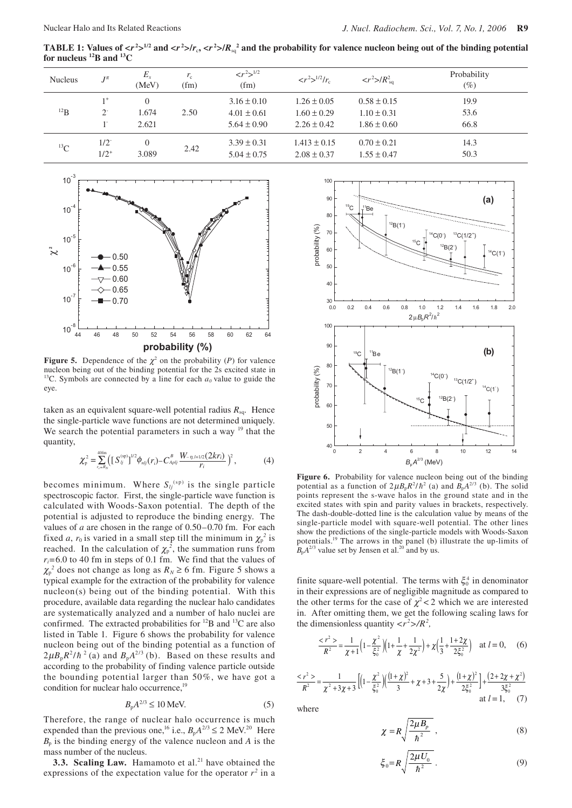TABLE 1: Values of  $\langle r^2 \rangle^{1/2}$  and  $\langle r^2 \rangle/r_c$ ,  $\langle r^2 \rangle/R_{sq}^2$  and the probability for valence nucleon being out of the binding potential **for nucleus 12B and 13C**

| <b>Nucleus</b> | $J^{\pi}$              | $E_{x}$<br>(MeV)    | $r_{\rm c}$<br>(fm) | $\langle r^2 \rangle^{1/2}$<br>(fm)                   | $\langle r^2 \rangle^{1/2} / r_c$                     | $\langle r^2 \rangle/R_{\rm sq}^2$                    | Probability<br>$(\%)$ |
|----------------|------------------------|---------------------|---------------------|-------------------------------------------------------|-------------------------------------------------------|-------------------------------------------------------|-----------------------|
| $^{12}B$       | $1+$<br>2 <sup>2</sup> | 0<br>1.674<br>2.621 | 2.50                | $3.16 \pm 0.10$<br>$4.01 \pm 0.61$<br>$5.64 \pm 0.90$ | $1.26 \pm 0.05$<br>$1.60 \pm 0.29$<br>$2.26 \pm 0.42$ | $0.58 \pm 0.15$<br>$1.10 \pm 0.31$<br>$1.86 \pm 0.60$ | 19.9<br>53.6<br>66.8  |
| ${}^{13}C$     | $1/2^{-}$<br>$1/2^{+}$ | 3.089               | 2.42                | $3.39 \pm 0.31$<br>$5.04 \pm 0.75$                    | $1.413 \pm 0.15$<br>$2.08 \pm 0.37$                   | $0.70 \pm 0.21$<br>$1.55 \pm 0.47$                    | 14.3<br>50.3          |



**Figure 5.** Dependence of the  $\chi^2$  on the probability (*P*) for valence nucleon being out of the binding potential for the 2s excited state in <sup>13</sup>C. Symbols are connected by a line for each  $a_0$  value to guide the eye.

taken as an equivalent square-well potential radius *R*sq. Hence the single-particle wave functions are not determined uniquely. We search the potential parameters in such a way  $19$  that the quantity,

$$
\chi_{\rm p}^2 = \sum_{r=R_N}^{\rm 40fm} \left( \left[ S_{ij}^{\rm (sp)} \right]^{1/2} \phi_{nlj}(r_i) - C_{Apj}^B \frac{W_{-\eta, l+1/2}(2kr_i)}{r_i} \right)^2, \tag{4}
$$

becomes minimum. Where  $S_{lj}^{(sp)}$  is the single particle spectroscopic factor. First, the single-particle wave function is calculated with Woods-Saxon potential. The depth of the potential is adjusted to reproduce the binding energy. The values of *a* are chosen in the range of 0.50–0.70 fm. For each fixed *a*,  $r_0$  is varied in a small step till the minimum in  $\chi_p^2$  is reached. In the calculation of  $\chi_{p}^{2}$ , the summation runs from *ri*=6.0 to 40 fm in steps of 0.1 fm. We find that the values of  $\chi_{p}^{2}$  does not change as long as  $R_N \ge 6$  fm. Figure 5 shows a typical example for the extraction of the probability for valence nucleon(s) being out of the binding potential. With this procedure, available data regarding the nuclear halo candidates are systematically analyzed and a number of halo nuclei are confirmed. The extracted probabilities for 12B and 13C are also listed in Table 1. Figure 6 shows the probability for valence nucleon being out of the binding potential as a function of  $2\mu B_p R^2/\hbar^2$  (a) and  $B_p A^{2/3}$  (b). Based on these results and according to the probability of finding valence particle outside the bounding potential larger than 50%, we have got a condition for nuclear halo occurrence,<sup>19</sup>

$$
B_{\rm p}A^{2/3} \le 10 \text{ MeV}.\tag{5}
$$

Therefore, the range of nuclear halo occurrence is much expended than the previous one,<sup>16</sup> i.e.,  $B_pA^{2/3} \le 2$  MeV.<sup>20</sup> Here  $B_p$  is the binding energy of the valence nucleon and *A* is the mass number of the nucleus.

**3.3. Scaling Law.** Hamamoto et al.<sup>21</sup> have obtained the expressions of the expectation value for the operator  $r^2$  in a



Figure 6. Probability for valence nucleon being out of the binding potential as a function of  $2\mu B_p R^2/\hbar^2$  (a) and  $B_p A^{2/3}$  (b). The solid points represent the s-wave halos in the ground state and in the excited states with spin and parity values in brackets, respectively. The dash-double-dotted line is the calculation value by means of the single-particle model with square-well potential. The other lines show the predictions of the single-particle models with Woods-Saxon potentials.19 The arrows in the panel (b) illustrate the up-limits of  $B<sub>p</sub>A<sup>2/3</sup>$  value set by Jensen et al.<sup>20</sup> and by us.

finite square-well potential. The terms with  $\xi_0^4$  in denominator in their expressions are of negligible magnitude as compared to the other terms for the case of  $\chi^2$  < 2 which we are interested in. After omitting them, we get the following scaling laws for the dimensionless quantity  $\langle r^2 \rangle / R^2$ ,

$$
\frac{4}{5}x^2 - \frac{1}{x+1}\left(1 - \frac{x^2}{\xi_0^2}\right)\left(1 + \frac{1}{x} + \frac{1}{2x^2}\right) + \chi\left(\frac{1}{3} + \frac{1+2x}{2\xi_0^2}\right) \quad \text{at } l = 0,\tag{6}
$$

$$
\frac{
$$

where

$$
\chi = R \sqrt{\frac{2\mu B_p}{\hbar^2}} \,, \tag{8}
$$

$$
\xi_0 = R \sqrt{\frac{2\mu U_0}{\hbar^2}} \ . \tag{9}
$$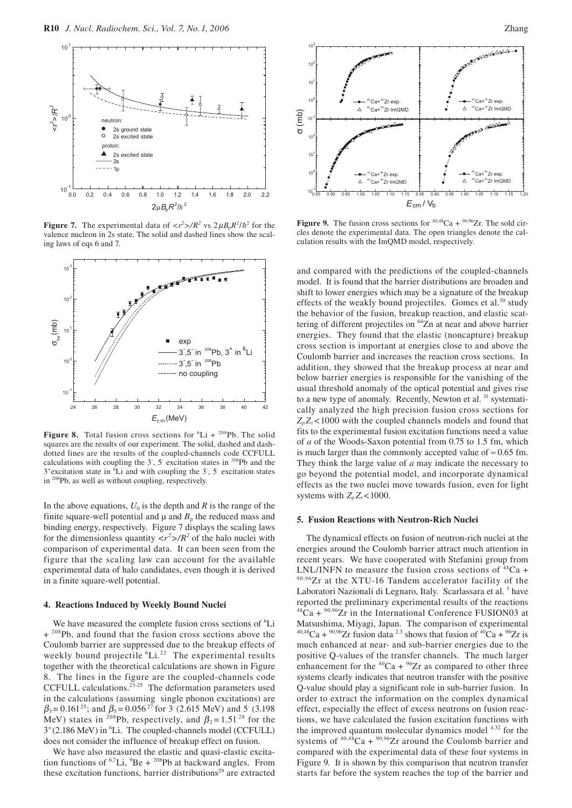

**Figure 7.** The experimental data of  $\langle r^2 \rangle / R^2$  vs  $2 \mu B_p R^2 / \hbar^2$  for the valence nucleon in 2s state. The solid and dashed lines show the scaling laws of eqs 6 and 7.



**Figure 8.** Total fusion cross sections for  ${}^{6}Li + {}^{208}Pb$ . The solid squares are the results of our experiment. The solid, dashed and dashdotted lines are the results of the coupled-channels code CCFULL calculations with coupling the  $3^{\circ}$ ,  $5^{\circ}$  excitation states in <sup>208</sup>Pb and the 3<sup>+</sup> excitation state in <sup>6</sup>Li and with coupling the 3<sup>-</sup>, 5<sup>-</sup> excitation states in 208Pb, as well as without coupling, respectively.

In the above equations,  $U_0$  is the depth and  $R$  is the range of the finite square-well potential and  $\mu$  and  $B<sub>p</sub>$  the reduced mass and binding energy, respectively. Figure 7 displays the scaling laws for the dimensionless quantity  $\langle r^2 \rangle / R^2$  of the halo nuclei with comparison of experimental data. It can been seen from the figure that the scaling law can account for the available experimental data of halo candidates, even though it is derived in a finite square-well potential.

#### **4. Reactions Induced by Weekly Bound Nuclei**

We have measured the complete fusion cross sections of <sup>6</sup>Li + <sup>208</sup>Pb, and found that the fusion cross sections above the Coulomb barrier are suppressed due to the breakup effects of weekly bound projectile <sup>6</sup>Li.<sup>22</sup> The experimental results together with the theoretical calculations are shown in Figure 8. The lines in the figure are the coupled-channels code CCFULL calculations. $23-25$  The deformation parameters used in the calculations (assuming single phonon excitations) are  $\beta_3$  = 0.161<sup>25</sup>; and  $\beta_5$  = 0.056<sup>27</sup> for 3<sup>-</sup> (2.615 MeV) and 5<sup>-</sup> (3.198 MeV) states in <sup>208</sup>Pb, respectively, and  $\beta_2 = 1.51^{28}$  for the 3<sup>+</sup>(2.186 MeV) in <sup>6</sup>Li. The coupled-channels model (CCFULL) does not consider the influence of breakup effect on fusion.

We have also measured the elastic and quasi-elastic excitation functions of  ${}^{6,7}Li$ ,  ${}^{9}Be + {}^{208}Pb$  at backward angles. From these excitation functions, barrier distributions<sup>29</sup> are extracted



**Figure 9.** The fusion cross sections for  $40,48$ Ca +  $90,96$ Zr. The sold circles denote the experimental data. The open triangles denote the calculation results with the ImQMD model, respectively.

and compared with the predictions of the coupled-channels model. It is found that the barrier distributions are broaden and shift to lower energies which may be a signature of the breakup effects of the weakly bound projectiles. Gomes et al.<sup>30</sup> study the behavior of the fusion, breakup reaction, and elastic scattering of different projectiles on  $64\overline{Z}$ n at near and above barrier energies. They found that the elastic (noncapture) breakup cross section is important at energies close to and above the Coulomb barrier and increases the reaction cross sections. In addition, they showed that the breakup process at near and below barrier energies is responsible for the vanishing of the usual threshold anomaly of the optical potential and gives rise to a new type of anomaly. Recently, Newton et al.<sup>31</sup> systematically analyzed the high precision fusion cross sections for  $Z<sub>n</sub>Z<sub>t</sub>$  <1000 with the coupled channels models and found that fits to the experimental fusion excitation functions need a value of *a* of the Woods-Saxon potential from 0.75 to 1.5 fm, which is much larger than the commonly accepted value of  $\approx 0.65$  fm. They think the large value of *a* may indicate the necessary to go beyond the potential model, and incorporate dynamical effects as the two nuclei move towards fusion, even for light systems with  $Z_p Z_t < 1000$ .

### **5. Fusion Reactions with Neutron-Rich Nuclei**

The dynamical effects on fusion of neutron-rich nuclei at the energies around the Coulomb barrier attract much attention in recent years. We have cooperated with Stefanini group from LNL/INFN to measure the fusion cross sections of  ${}^{48}Ca +$ 90,96Zr at the XTU-16 Tandem accelerator facility of the Laboratori Nazionali di Legnaro, Italy. Scarlassara et al.<sup>3</sup> have reported the preliminary experimental results of the reactions  $48\text{Ca} + {}^{90,96}\text{Zr}$  in the International Conference FUSION03 at Matsushima, Miyagi, Japan. The comparison of experimental  $40,48$ Ca +  $90,96$ Zr fusion data <sup>2,3</sup> shows that fusion of  $40$ Ca +  $96$ Zr is much enhanced at near- and sub-barrier energies due to the positive Q-values of the transfer channels. The much larger enhancement for the  ${}^{40}Ca + {}^{96}Zr$  as compared to other three systems clearly indicates that neutron transfer with the positive Q-value should play a significant role in sub-barrier fusion. In order to extract the information on the complex dynamical effect, especially the effect of excess neutrons on fusion reactions, we have calculated the fusion excitation functions with the improved quantum molecular dynamics model 4,32 for the systems of  $40,48$ Ca +  $90,96$ Zr around the Coulomb barrier and compared with the experimental data of these four systems in Figure 9. It is shown by this comparison that neutron transfer starts far before the system reaches the top of the barrier and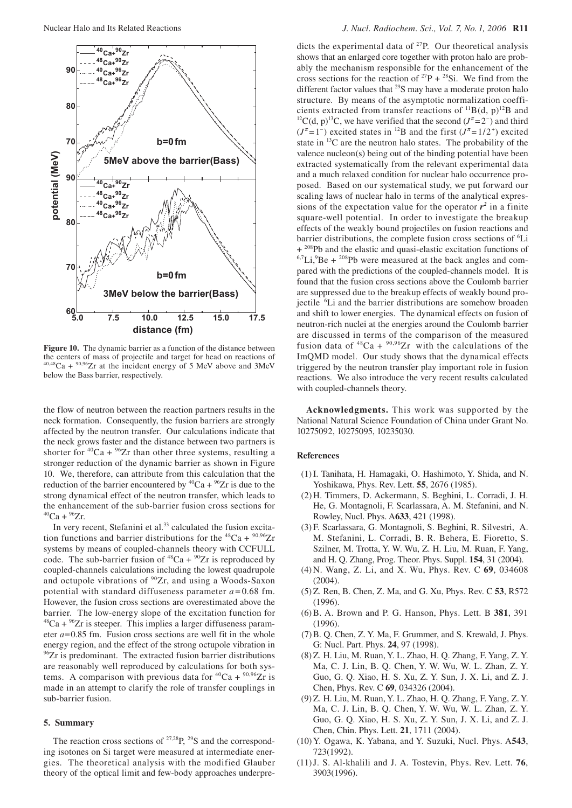

**Figure 10.** The dynamic barrier as a function of the distance between the centers of mass of projectile and target for head on reactions of  $40,48$ Ca +  $90,96$ Zr at the incident energy of 5 MeV above and 3MeV below the Bass barrier, respectively.

the flow of neutron between the reaction partners results in the neck formation. Consequently, the fusion barriers are strongly affected by the neutron transfer. Our calculations indicate that the neck grows faster and the distance between two partners is shorter for  ${}^{40}Ca + {}^{96}Zr$  than other three systems, resulting a stronger reduction of the dynamic barrier as shown in Figure 10. We, therefore, can attribute from this calculation that the reduction of the barrier encountered by <sup>40</sup>Ca + <sup>96</sup>Zr is due to the strong dynamical effect of the neutron transfer, which leads to the enhancement of the sub-barrier fusion cross sections for  $^{40}Ca + ^{96}Zr$ .

In very recent, Stefanini et al.<sup>33</sup> calculated the fusion excitation functions and barrier distributions for the  ${}^{48}Ca + {}^{90,96}Zr$ systems by means of coupled-channels theory with CCFULL code. The sub-barrier fusion of  ${}^{48}Ca + {}^{90}Zr$  is reproduced by coupled-channels calculations including the lowest quadrupole and octupole vibrations of <sup>90</sup>Zr, and using a Woods-Saxon potential with standard diffuseness parameter  $a = 0.68$  fm. However, the fusion cross sections are overestimated above the barrier. The low-energy slope of the excitation function for  $^{48}Ca + ^{96}Zr$  is steeper. This implies a larger diffuseness parameter *a*=0.85 fm. Fusion cross sections are well fit in the whole energy region, and the effect of the strong octupole vibration in  $96Zr$  is predominant. The extracted fusion barrier distributions are reasonably well reproduced by calculations for both systems. A comparison with previous data for  ${}^{40}Ca + {}^{90,96}Zr$  is made in an attempt to clarify the role of transfer couplings in sub-barrier fusion.

#### **5. Summary**

The reaction cross sections of  $27,28$ P,  $29$ S and the corresponding isotones on Si target were measured at intermediate energies. The theoretical analysis with the modified Glauber theory of the optical limit and few-body approaches underpredicts the experimental data of  $27P$ . Our theoretical analysis shows that an enlarged core together with proton halo are probably the mechanism responsible for the enhancement of the cross sections for the reaction of  $^{27}P + ^{28}Si$ . We find from the different factor values that <sup>29</sup>S may have a moderate proton halo structure. By means of the asymptotic normalization coeffi-<br>cients extracted from transfer reactions of  $^{11}B(d, p)^{12}B$  and cients extracted from transfer reactions of <sup>11</sup>B(d, p)<sup>12</sup>B and <sup>12</sup>C(d, p)<sup>13</sup>C, we have verified that the second (*J*<sup>π</sup>=2<sup>-</sup>) and third  $(J^{\pi} = 1^{-})$  excited states in <sup>12</sup>B and the first  $(J^{\pi} = 1/2^{+})$  excited state in  $^{13}$ C are the neutron halo states. The probability of the valence nucleon(s) being out of the binding potential have been extracted systematically from the relevant experimental data and a much relaxed condition for nuclear halo occurrence proposed. Based on our systematical study, we put forward our scaling laws of nuclear halo in terms of the analytical expressions of the expectation value for the operator  $r^2$  in a finite square-well potential. In order to investigate the breakup effects of the weakly bound projectiles on fusion reactions and barrier distributions, the complete fusion cross sections of <sup>6</sup>Li + <sup>208</sup>Pb and the elastic and quasi-elastic excitation functions of  $6.7$ Li, $^{9}$ Be +  $^{208}$ Pb were measured at the back angles and compared with the predictions of the coupled-channels model. It is found that the fusion cross sections above the Coulomb barrier are suppressed due to the breakup effects of weakly bound projectile <sup>6</sup>Li and the barrier distributions are somehow broaden and shift to lower energies. The dynamical effects on fusion of neutron-rich nuclei at the energies around the Coulomb barrier are discussed in terms of the comparison of the measured fusion data of  $^{48}Ca + {}^{90,96}Zr$  with the calculations of the ImQMD model. Our study shows that the dynamical effects triggered by the neutron transfer play important role in fusion reactions. We also introduce the very recent results calculated with coupled-channels theory.

**Acknowledgments.** This work was supported by the National Natural Science Foundation of China under Grant No. 10275092, 10275095, 10235030.

# **References**

- (1) I. Tanihata, H. Hamagaki, O. Hashimoto, Y. Shida, and N. Yoshikawa, Phys. Rev. Lett. **55**, 2676 (1985).
- (2) H. Timmers, D. Ackermann, S. Beghini, L. Corradi, J. H. He, G. Montagnoli, F. Scarlassara, A. M. Stefanini, and N. Rowley, Nucl. Phys. A**633**, 421 (1998).
- (3) F. Scarlassara, G. Montagnoli, S. Beghini, R. Silvestri, A. M. Stefanini, L. Corradi, B. R. Behera, E. Fioretto, S. Szilner, M. Trotta, Y. W. Wu, Z. H. Liu, M. Ruan, F. Yang, and H. Q. Zhang, Prog. Theor. Phys. Suppl. **154**, 31 (2004).
- (4) N. Wang, Z. Li, and X. Wu, Phys. Rev. C **69**, 034608 (2004).
- (5) Z. Ren, B. Chen, Z. Ma, and G. Xu, Phys. Rev. C **53**, R572 (1996).
- (6) B. A. Brown and P. G. Hanson, Phys. Lett. B **381**, 391 (1996).
- (7) B. Q. Chen, Z. Y. Ma, F. Grummer, and S. Krewald, J. Phys. G: Nucl. Part. Phys. **24**, 97 (1998).
- (8) Z. H. Liu, M. Ruan, Y. L. Zhao, H. Q. Zhang, F. Yang, Z. Y. Ma, C. J. Lin, B. Q. Chen, Y. W. Wu, W. L. Zhan, Z. Y. Guo, G. Q. Xiao, H. S. Xu, Z. Y. Sun, J. X. Li, and Z. J. Chen, Phys. Rev. C **69**, 034326 (2004).
- (9) Z. H. Liu, M. Ruan, Y. L. Zhao, H. Q. Zhang, F. Yang, Z. Y. Ma, C. J. Lin, B. Q. Chen, Y. W. Wu, W. L. Zhan, Z. Y. Guo, G. Q. Xiao, H. S. Xu, Z. Y. Sun, J. X. Li, and Z. J. Chen, Chin. Phys. Lett. **21**, 1711 (2004).
- (10) Y. Ogawa, K. Yabana, and Y. Suzuki, Nucl. Phys. A**543**, 723(1992).
- (11) J. S. Al-khalili and J. A. Tostevin, Phys. Rev. Lett. **76**, 3903(1996).